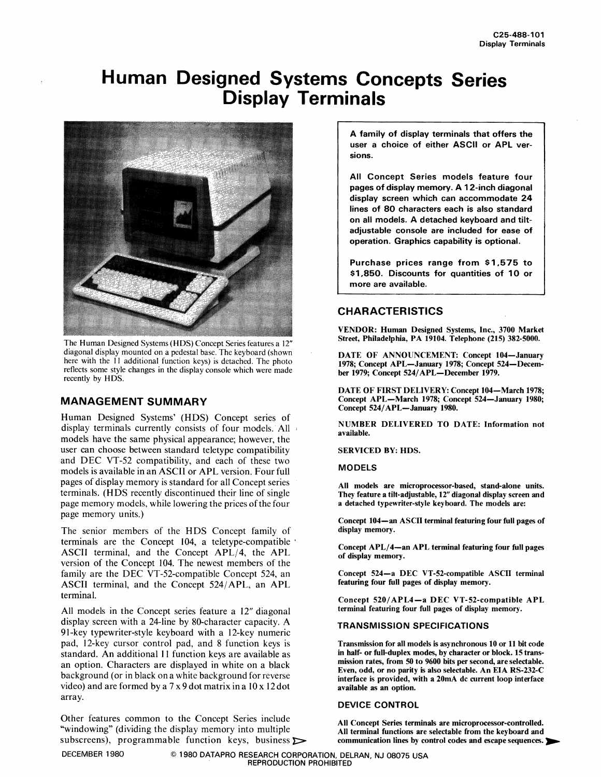# **Human Designed Systems Concepts Series Display Terminals**



The Human Designed Systems (HDS) Concept Series features a 12" diagonal display mounted on a pedestal base. The keyboard (shown here with the II additional function keys) is detached. The photo reflects some style changes in the display console which were made recently by HDS.

## MANAGEMENT SUMMARY

Human Designed Systems' (HDS) Concept series of display terminals currently consists of four models. All models have the same physical appearance; however, the user can choose between standard teletype compatibility and DEC VT-52 compatibility, and each of these two models is available in an ASCII or APL version. Four full pages of display memory is standard for all Concept series terminals. (HDS recently discontinued their line of single page memory models, while lowering the prices of the four page memory units.)

The senior members of the HDS Concept family of terminals are the Concept 104, a teletype-compatible . ASCII terminal, and the Concept APL/4, the APL version of the Concept 104. The newest members of the family are the DEC VT-52-compatible Concept 524, an ASCII terminal, and the Concept 524/ APL, an APL terminal.

All models in the Concept series feature a 12" diagonal display screen with a 24-line by 80-character capacity. A 9I-key typewriter-style keyboard with a 12-key numeric pad, 12-key cursor control pad, and 8 function keys is standard. An additional II function keys are available as an option. Characters are displayed in white on a black background (or in black on a white background for reverse video) and are formed by a  $7 \times 9$  dot matrix in a  $10 \times 12$  dot array.

Other features common to the Concept Series include All Concept Series terminals are microprocessor-controlled. "windowing" (dividing the display memory into mUltiple All terminal functions are selectable from the keyboard and subscreens), programmable function keys, business  $\sim$  communication lines by control codes and escape sequences.

A family of display terminals that offers the user a choice of either ASCII or APL versions.

All Concept Series models feature four pages of display memory. A 12-inch diagonal display screen which can accommodate 24 lines of 80 characters each is also standard on all models. A detached keyboard and tiltadjustable console are included for ease of operation. Graphics capability is optional.

Purchase prices range from \$1.575 to \$1.850. Discounts for quantities of 10 or more are available.

# **CHARACTERISTICS**

VENDOR: Human Designed Systems, Inc., 3700 Market Street, Philadelphia, PA 19104. Telephone (215) 382-5000.

DATE OF ANNOUNCEMENT: Concept 104-January 1978; Concept APL-January 1978; Concept 524-December 1979; Concept 524/ APL-December 1979.

DATE OF FIRST DELIVERY: Concept 104-March 1978; Concept APL-March 1978; Concept 524-January 1980; Concept 524/APL-January 1980.

NUMBER DELIVERED TO DATE: Information not available.

SERVICED BY: HDS.

MODELS

All models are microprocessor-based, stand-alone units. They feature a tilt-adjustable, 12" diagonal display screen and a detached typewriter-style keyboard. The models are:

Concept 104-an ASCII terminal featuring four full pages of display memory.

Concept APL/4-an APL terminal featuring four full pages of display memory.

Concept 524-a DEC VT-52-compatible ASCII terminal featuring four full pages of display memory.

Concept 520/ APL4-a DEC VT-52-compatible APL terminal featuring four full pages of display memory.

### TRANSMISSION SPECIFICATIONS

Transmission for all models is asynchronous 10 or 11 bit code in half- or full-duplex modes, by character or block. 15 transmission rates, from 50 to 9600 bits per second, are selectable. Even, odd, or no parity is also selectable. An EIA RS-232-C interface is provided, with a 20mA dc current loop interface available as an option.

#### DEVICE CONTROL